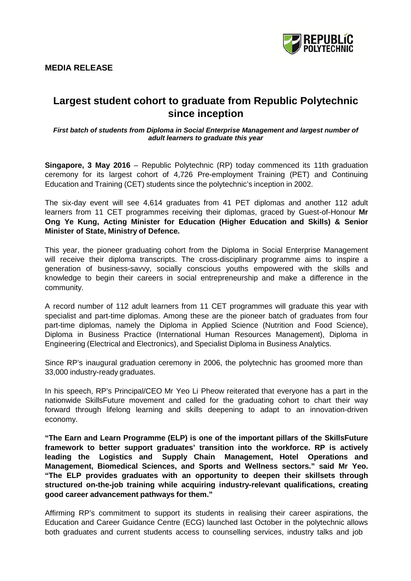# **MEDIA RELEASE**



# **Largest student cohort to graduate from Republic Polytechnic since inception**

*First batch of students from Diploma in Social Enterprise Management and largest number of adult learners to graduate this year*

**Singapore, 3 May 2016** – Republic Polytechnic (RP) today commenced its 11th graduation ceremony for its largest cohort of 4,726 Pre-employment Training (PET) and Continuing Education and Training (CET) students since the polytechnic's inception in 2002.

The six-day event will see 4,614 graduates from 41 PET diplomas and another 112 adult learners from 11 CET programmes receiving their diplomas, graced by Guest-of-Honour **Mr Ong Ye Kung, Acting Minister for Education (Higher Education and Skills) & Senior Minister of State, Ministry of Defence.**

This year, the pioneer graduating cohort from the Diploma in Social Enterprise Management will receive their diploma transcripts. The cross-disciplinary programme aims to inspire a generation of business-savvy, socially conscious youths empowered with the skills and knowledge to begin their careers in social entrepreneurship and make a difference in the community.

A record number of 112 adult learners from 11 CET programmes will graduate this year with specialist and part-time diplomas. Among these are the pioneer batch of graduates from four part-time diplomas, namely the Diploma in Applied Science (Nutrition and Food Science), Diploma in Business Practice (International Human Resources Management), Diploma in Engineering (Electrical and Electronics), and Specialist Diploma in Business Analytics.

Since RP's inaugural graduation ceremony in 2006, the polytechnic has groomed more than 33,000 industry-ready graduates.

In his speech, RP's Principal/CEO Mr Yeo Li Pheow reiterated that everyone has a part in the nationwide SkillsFuture movement and called for the graduating cohort to chart their way forward through lifelong learning and skills deepening to adapt to an innovation-driven economy.

**"The Earn and Learn Programme (ELP) is one of the important pillars of the SkillsFuture framework to better support graduates' transition into the workforce. RP is actively leading the Logistics and Supply Chain Management, Hotel Operations and Management, Biomedical Sciences, and Sports and Wellness sectors." said Mr Yeo. "The ELP provides graduates with an opportunity to deepen their skillsets through structured on-the-job training while acquiring industry-relevant qualifications, creating good career advancement pathways for them."**

Affirming RP's commitment to support its students in realising their career aspirations, the Education and Career Guidance Centre (ECG) launched last October in the polytechnic allows both graduates and current students access to counselling services, industry talks and job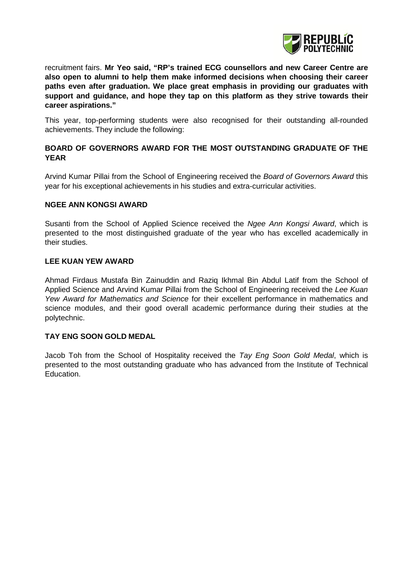

recruitment fairs. **Mr Yeo said, "RP's trained ECG counsellors and new Career Centre are also open to alumni to help them make informed decisions when choosing their career paths even after graduation. We place great emphasis in providing our graduates with support and guidance, and hope they tap on this platform as they strive towards their career aspirations."**

This year, top-performing students were also recognised for their outstanding all-rounded achievements. They include the following:

# **BOARD OF GOVERNORS AWARD FOR THE MOST OUTSTANDING GRADUATE OF THE YEAR**

Arvind Kumar Pillai from the School of Engineering received the *Board of Governors Award* this year for his exceptional achievements in his studies and extra-curricular activities.

#### **NGEE ANN KONGSI AWARD**

Susanti from the School of Applied Science received the *Ngee Ann Kongsi Award*, which is presented to the most distinguished graduate of the year who has excelled academically in their studies.

## **LEE KUAN YEW AWARD**

Ahmad Firdaus Mustafa Bin Zainuddin and Raziq Ikhmal Bin Abdul Latif from the School of Applied Science and Arvind Kumar Pillai from the School of Engineering received the *Lee Kuan Yew Award for Mathematics and Science* for their excellent performance in mathematics and science modules, and their good overall academic performance during their studies at the polytechnic.

## **TAY ENG SOON GOLD MEDAL**

Jacob Toh from the School of Hospitality received the *Tay Eng Soon Gold Medal*, which is presented to the most outstanding graduate who has advanced from the Institute of Technical Education.